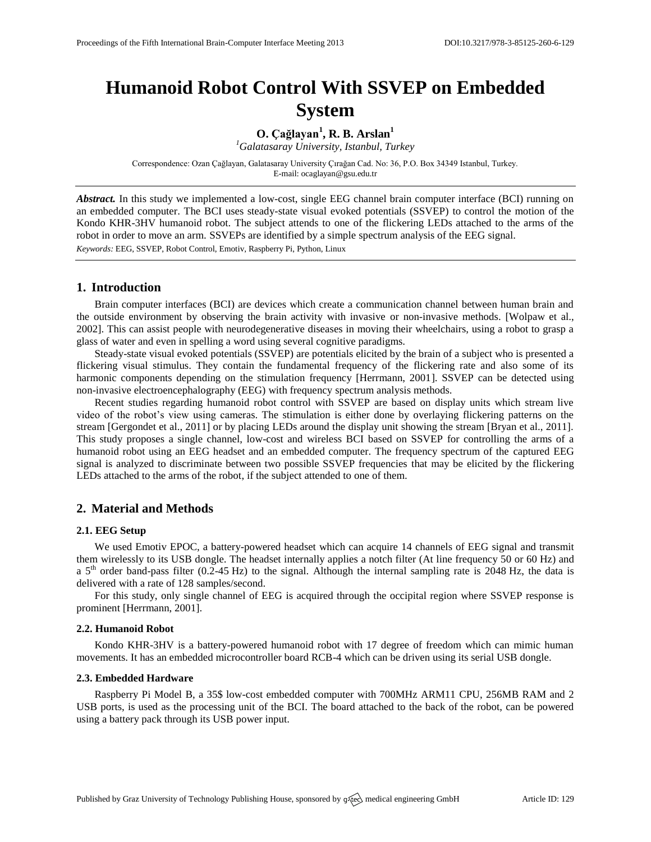# **Humanoid Robot Control With SSVEP on Embedded System**

**O. Çağlayan<sup>1</sup> , R. B. Arslan<sup>1</sup>**

*<sup>1</sup>Galatasaray University, Istanbul, Turkey*

Correspondence: Ozan Çağlayan, Galatasaray University Çırağan Cad. No: 36, P.O. Box 34349 Istanbul, Turkey. E-mail[: ocaglayan@gsu.edu.tr](mailto:ocaglayan@gsu.edu.tr)

*Abstract.* In this study we implemented a low-cost, single EEG channel brain computer interface (BCI) running on an embedded computer. The BCI uses steady-state visual evoked potentials (SSVEP) to control the motion of the Kondo KHR-3HV humanoid robot. The subject attends to one of the flickering LEDs attached to the arms of the robot in order to move an arm. SSVEPs are identified by a simple spectrum analysis of the EEG signal. *Keywords:* EEG, SSVEP, Robot Control, Emotiv, Raspberry Pi, Python, Linux

# **1. Introduction**

Brain computer interfaces (BCI) are devices which create a communication channel between human brain and the outside environment by observing the brain activity with invasive or non-invasive methods. [Wolpaw et al., 2002]. This can assist people with neurodegenerative diseases in moving their wheelchairs, using a robot to grasp a glass of water and even in spelling a word using several cognitive paradigms.

Steady-state visual evoked potentials (SSVEP) are potentials elicited by the brain of a subject who is presented a flickering visual stimulus. They contain the fundamental frequency of the flickering rate and also some of its harmonic components depending on the stimulation frequency [Herrmann, 2001]. SSVEP can be detected using non-invasive electroencephalography (EEG) with frequency spectrum analysis methods.

Recent studies regarding humanoid robot control with SSVEP are based on display units which stream live video of the robot's view using cameras. The stimulation is either done by overlaying flickering patterns on the stream [Gergondet et al., 2011] or by placing LEDs around the display unit showing the stream [Bryan et al., 2011]. This study proposes a single channel, low-cost and wireless BCI based on SSVEP for controlling the arms of a humanoid robot using an EEG headset and an embedded computer. The frequency spectrum of the captured EEG signal is analyzed to discriminate between two possible SSVEP frequencies that may be elicited by the flickering LEDs attached to the arms of the robot, if the subject attended to one of them.

# **2. Material and Methods**

#### **2.1. EEG Setup**

We used Emotiv EPOC, a battery-powered headset which can acquire 14 channels of EEG signal and transmit them wirelessly to its USB dongle. The headset internally applies a notch filter (At line frequency 50 or 60 Hz) and a  $5<sup>th</sup>$  order band-pass filter (0.2-45 Hz) to the signal. Although the internal sampling rate is 2048 Hz, the data is delivered with a rate of 128 samples/second.

For this study, only single channel of EEG is acquired through the occipital region where SSVEP response is prominent [Herrmann, 2001].

#### **2.2. Humanoid Robot**

Kondo KHR-3HV is a battery-powered humanoid robot with 17 degree of freedom which can mimic human movements. It has an embedded microcontroller board RCB-4 which can be driven using its serial USB dongle.

#### **2.3. Embedded Hardware**

Raspberry Pi Model B, a 35\$ low-cost embedded computer with 700MHz ARM11 CPU, 256MB RAM and 2 USB ports, is used as the processing unit of the BCI. The board attached to the back of the robot, can be powered using a battery pack through its USB power input.